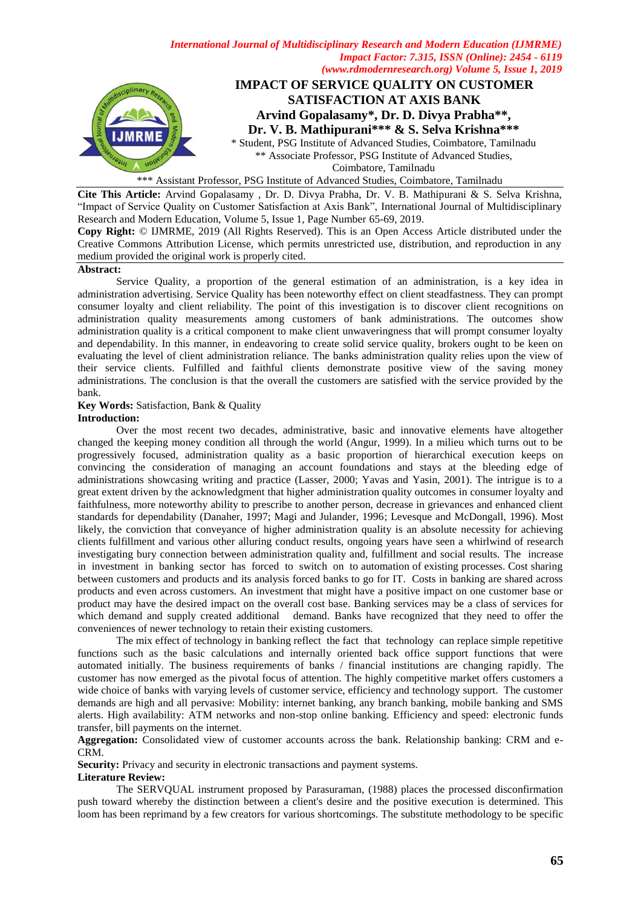

\*\*\* Assistant Professor, PSG Institute of Advanced Studies, Coimbatore, Tamilnadu

**Cite This Article:** Arvind Gopalasamy , Dr. D. Divya Prabha, Dr. V. B. Mathipurani & S. Selva Krishna, "Impact of Service Quality on Customer Satisfaction at Axis Bank", International Journal of Multidisciplinary Research and Modern Education, Volume 5, Issue 1, Page Number 65-69, 2019.

**Copy Right:** © IJMRME, 2019 (All Rights Reserved). This is an Open Access Article distributed under the Creative Commons Attribution License, which permits unrestricted use, distribution, and reproduction in any medium provided the original work is properly cited.

#### **Abstract:**

Service Quality, a proportion of the general estimation of an administration, is a key idea in administration advertising. Service Quality has been noteworthy effect on client steadfastness. They can prompt consumer loyalty and client reliability. The point of this investigation is to discover client recognitions on administration quality measurements among customers of bank administrations. The outcomes show administration quality is a critical component to make client unwaveringness that will prompt consumer loyalty and dependability. In this manner, in endeavoring to create solid service quality, brokers ought to be keen on evaluating the level of client administration reliance. The banks administration quality relies upon the view of their service clients. Fulfilled and faithful clients demonstrate positive view of the saving money administrations. The conclusion is that the overall the customers are satisfied with the service provided by the bank.

# **Key Words:** Satisfaction, Bank & Quality

## **Introduction:**

Over the most recent two decades, administrative, basic and innovative elements have altogether changed the keeping money condition all through the world (Angur, 1999). In a milieu which turns out to be progressively focused, administration quality as a basic proportion of hierarchical execution keeps on convincing the consideration of managing an account foundations and stays at the bleeding edge of administrations showcasing writing and practice (Lasser, 2000; Yavas and Yasin, 2001). The intrigue is to a great extent driven by the acknowledgment that higher administration quality outcomes in consumer loyalty and faithfulness, more noteworthy ability to prescribe to another person, decrease in grievances and enhanced client standards for dependability (Danaher, 1997; Magi and Julander, 1996; Levesque and McDongall, 1996). Most likely, the conviction that conveyance of higher administration quality is an absolute necessity for achieving clients fulfillment and various other alluring conduct results, ongoing years have seen a whirlwind of research investigating bury connection between administration quality and, fulfillment and social results. The increase in investment in banking sector has forced to switch on to automation of existing processes. Cost sharing between customers and products and its analysis forced banks to go for IT. Costs in banking are shared across products and even across customers. An investment that might have a positive impact on one customer base or product may have the desired impact on the overall cost base. Banking services may be a class of services for which demand and supply created additional demand. Banks have recognized that they need to offer the conveniences of newer technology to retain their existing customers.

The mix effect of technology in banking reflect the fact that technology can replace simple repetitive functions such as the basic calculations and internally oriented back office support functions that were automated initially. The business requirements of banks / financial institutions are changing rapidly. The customer has now emerged as the pivotal focus of attention. The highly competitive market offers customers a wide choice of banks with varying levels of customer service, efficiency and technology support. The customer demands are high and all pervasive: Mobility: internet banking, any branch banking, mobile banking and SMS alerts. High availability: ATM networks and non-stop online banking. Efficiency and speed: electronic funds transfer, bill payments on the internet.

**Aggregation:** Consolidated view of customer accounts across the bank. Relationship banking: CRM and e-CRM.

**Security:** Privacy and security in electronic transactions and payment systems.

### **Literature Review:**

The SERVQUAL instrument proposed by Parasuraman, (1988) places the processed disconfirmation push toward whereby the distinction between a client's desire and the positive execution is determined. This loom has been reprimand by a few creators for various shortcomings. The substitute methodology to be specific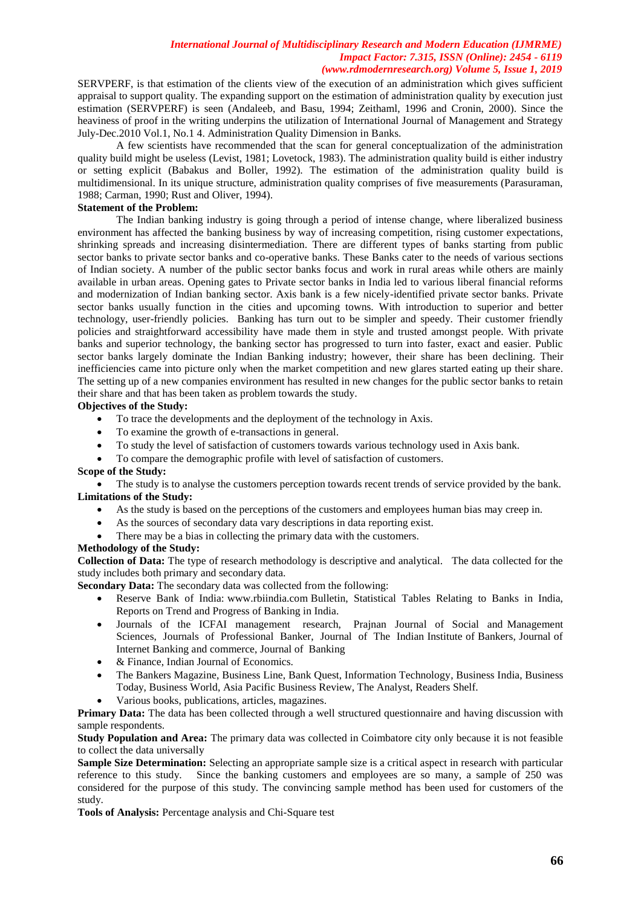SERVPERF, is that estimation of the clients view of the execution of an administration which gives sufficient appraisal to support quality. The expanding support on the estimation of administration quality by execution just estimation (SERVPERF) is seen (Andaleeb, and Basu, 1994; Zeithaml, 1996 and Cronin, 2000). Since the heaviness of proof in the writing underpins the utilization of International Journal of Management and Strategy July-Dec.2010 Vol.1, No.1 4. Administration Quality Dimension in Banks.

A few scientists have recommended that the scan for general conceptualization of the administration quality build might be useless (Levist, 1981; Lovetock, 1983). The administration quality build is either industry or setting explicit (Babakus and Boller, 1992). The estimation of the administration quality build is multidimensional. In its unique structure, administration quality comprises of five measurements (Parasuraman, 1988; Carman, 1990; Rust and Oliver, 1994).

# **Statement of the Problem:**

The Indian banking industry is going through a period of intense change, where liberalized business environment has affected the banking business by way of increasing competition, rising customer expectations, shrinking spreads and increasing disintermediation. There are different types of banks starting from public sector banks to private sector banks and co-operative banks. These Banks cater to the needs of various sections of Indian society. A number of the public sector banks focus and work in rural areas while others are mainly available in urban areas. Opening gates to Private sector banks in India led to various liberal financial reforms and modernization of Indian banking sector. Axis bank is a few nicely-identified private sector banks. Private sector banks usually function in the cities and upcoming towns. With introduction to superior and better technology, user-friendly policies. Banking has turn out to be simpler and speedy. Their customer friendly policies and straightforward accessibility have made them in style and trusted amongst people. With private banks and superior technology, the banking sector has progressed to turn into faster, exact and easier. Public sector banks largely dominate the Indian Banking industry; however, their share has been declining. Their inefficiencies came into picture only when the market competition and new glares started eating up their share. The setting up of a new companies environment has resulted in new changes for the public sector banks to retain their share and that has been taken as problem towards the study.

## **Objectives of the Study:**

- To trace the developments and the deployment of the technology in Axis.
- To examine the growth of e-transactions in general.
- To study the level of satisfaction of customers towards various technology used in Axis bank.
- To compare the demographic profile with level of satisfaction of customers.

### **Scope of the Study:**

• The study is to analyse the customers perception towards recent trends of service provided by the bank. **Limitations of the Study:**

- As the study is based on the perceptions of the customers and employees human bias may creep in.
- As the sources of secondary data vary descriptions in data reporting exist.
- There may be a bias in collecting the primary data with the customers.

# **Methodology of the Study:**

**Collection of Data:** The type of research methodology is descriptive and analytical. The data collected for the study includes both primary and secondary data.

**Secondary Data:** The secondary data was collected from the following:

- Reserve Bank of India: [www.rbiindia.com](http://www.rbiindia.com/) Bulletin, Statistical Tables Relating to Banks in India, Reports on Trend and Progress of Banking in India.
- Journals of the ICFAI management research, Prajnan Journal of Social and Management Sciences, Journals of Professional Banker, Journal of The Indian Institute of Bankers, Journal of Internet Banking and commerce, Journal of Banking
- & Finance, Indian Journal of Economics.
- The Bankers Magazine, Business Line, Bank Quest, Information Technology, Business India, Business Today, Business World, Asia Pacific Business Review, The Analyst, Readers Shelf.
- Various books, publications, articles, magazines.

**Primary Data:** The data has been collected through a well structured questionnaire and having discussion with sample respondents.

**Study Population and Area:** The primary data was collected in Coimbatore city only because it is not feasible to collect the data universally

**Sample Size Determination:** Selecting an appropriate sample size is a critical aspect in research with particular reference to this study. Since the banking customers and employees are so many, a sample of 250 was considered for the purpose of this study. The convincing sample method has been used for customers of the study.

**Tools of Analysis:** Percentage analysis and Chi-Square test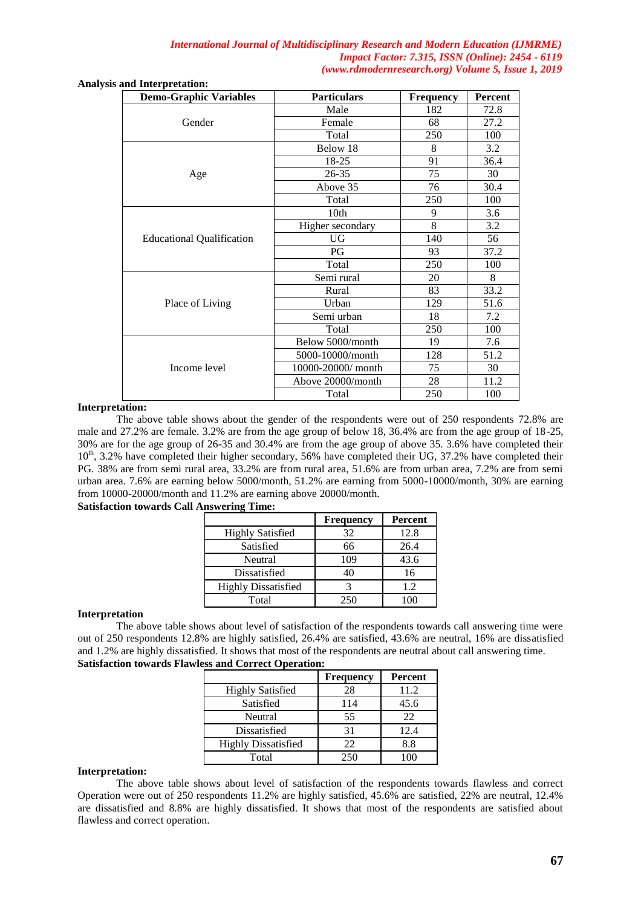| <b>Analysis and Interpretation:</b> |  |
|-------------------------------------|--|
|-------------------------------------|--|

| ana mici pi ctation.<br><b>Demo-Graphic Variables</b> | <b>Particulars</b> | <b>Frequency</b> | Percent |
|-------------------------------------------------------|--------------------|------------------|---------|
|                                                       | Male               | 182              | 72.8    |
| Gender                                                | Female             | 68               | 27.2    |
|                                                       | Total              | 250              | 100     |
|                                                       | Below 18           | 8                | 3.2     |
|                                                       | 18-25              | 91               | 36.4    |
| Age                                                   | 26-35              | 75               | 30      |
|                                                       | Above 35           | 76               | 30.4    |
|                                                       | Total              | 250              | 100     |
|                                                       | 10th               | 9                | 3.6     |
|                                                       | Higher secondary   | 8                | 3.2     |
| <b>Educational Qualification</b>                      | UG                 | 140              | 56      |
|                                                       | PG                 | 93               | 37.2    |
|                                                       | Total              | 250              | 100     |
|                                                       | Semi rural         | 20               | 8       |
|                                                       | Rural              | 83               | 33.2    |
| Place of Living                                       | Urban              | 129              | 51.6    |
|                                                       | Semi urban         | 18               | 7.2     |
|                                                       | Total              | 250              | 100     |
|                                                       | Below 5000/month   | 19               | 7.6     |
|                                                       | 5000-10000/month   | 128              | 51.2    |
| Income level                                          | 10000-20000/ month | 75               | 30      |
|                                                       | Above 20000/month  | 28               | 11.2    |
|                                                       | Total              | 250              | 100     |

## **Interpretation:**

The above table shows about the gender of the respondents were out of 250 respondents 72.8% are male and 27.2% are female. 3.2% are from the age group of below 18, 36.4% are from the age group of 18-25, 30% are for the age group of 26-35 and 30.4% are from the age group of above 35. 3.6% have completed their  $10<sup>th</sup>$ , 3.2% have completed their higher secondary, 56% have completed their UG, 37.2% have completed their PG. 38% are from semi rural area, 33.2% are from rural area, 51.6% are from urban area, 7.2% are from semi urban area. 7.6% are earning below 5000/month, 51.2% are earning from 5000-10000/month, 30% are earning from 10000-20000/month and 11.2% are earning above 20000/month.

## **Satisfaction towards Call Answering Time:**

|                            | <b>Frequency</b> | Percent |
|----------------------------|------------------|---------|
| <b>Highly Satisfied</b>    | 32               | 12.8    |
| Satisfied                  | 66               | 26.4    |
| Neutral                    | 109              | 43.6    |
| Dissatisfied               | 40               | 16      |
| <b>Highly Dissatisfied</b> |                  | 1.2     |
| Total                      | 250              |         |

### **Interpretation**

The above table shows about level of satisfaction of the respondents towards call answering time were out of 250 respondents 12.8% are highly satisfied, 26.4% are satisfied, 43.6% are neutral, 16% are dissatisfied and 1.2% are highly dissatisfied. It shows that most of the respondents are neutral about call answering time. **Satisfaction towards Flawless and Correct Operation:**

|                            | <b>Frequency</b> | Percent |
|----------------------------|------------------|---------|
| <b>Highly Satisfied</b>    | 28               | 11.2    |
| Satisfied                  | 114              | 45.6    |
| Neutral                    | 55               | 22      |
| Dissatisfied               | 31               | 12.4    |
| <b>Highly Dissatisfied</b> | 22               | 8.8     |
| Total                      | 250              |         |

## **Interpretation:**

The above table shows about level of satisfaction of the respondents towards flawless and correct Operation were out of 250 respondents 11.2% are highly satisfied, 45.6% are satisfied, 22% are neutral, 12.4% are dissatisfied and 8.8% are highly dissatisfied. It shows that most of the respondents are satisfied about flawless and correct operation.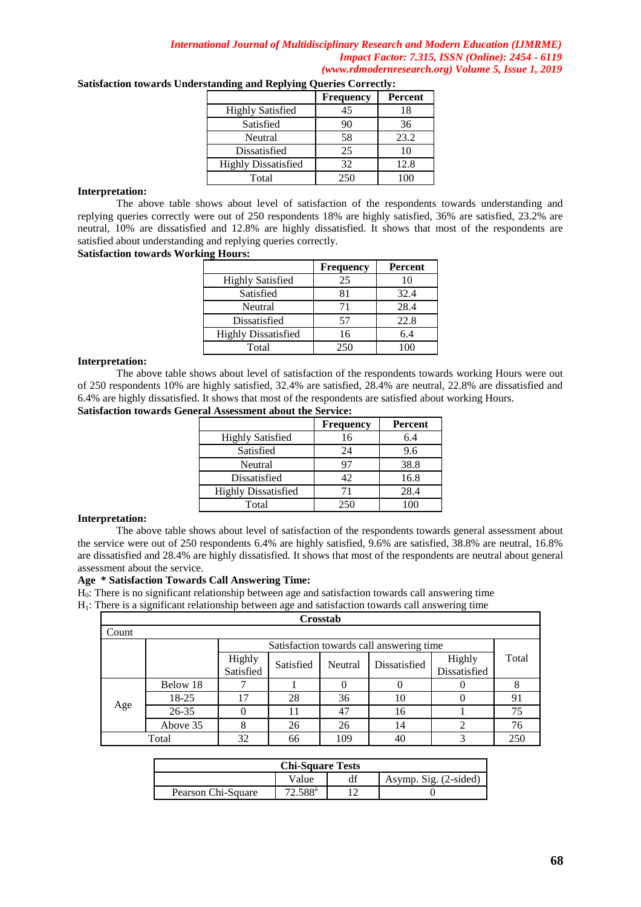|                            | <b>Frequency</b> | <b>Percent</b> |
|----------------------------|------------------|----------------|
| <b>Highly Satisfied</b>    | 45               | 18             |
| Satisfied                  | 90               | 36             |
| Neutral                    | 58               | 23.2           |
| Dissatisfied               | 25               | 10             |
| <b>Highly Dissatisfied</b> | 32               | 12.8           |
| Total                      | 250              |                |

# **Satisfaction towards Understanding and Replying Queries Correctly:**

## **Interpretation:**

The above table shows about level of satisfaction of the respondents towards understanding and replying queries correctly were out of 250 respondents 18% are highly satisfied, 36% are satisfied, 23.2% are neutral, 10% are dissatisfied and 12.8% are highly dissatisfied. It shows that most of the respondents are satisfied about understanding and replying queries correctly.

## **Satisfaction towards Working Hours:**

|                            | <b>Frequency</b> | <b>Percent</b> |
|----------------------------|------------------|----------------|
| <b>Highly Satisfied</b>    | 25               | 10             |
| Satisfied                  | 81               | 32.4           |
| Neutral                    | 71               | 28.4           |
| Dissatisfied               | 57               | 22.8           |
| <b>Highly Dissatisfied</b> | 16               | 6.4            |
| Total                      | 250              | 100            |

### **Interpretation:**

The above table shows about level of satisfaction of the respondents towards working Hours were out of 250 respondents 10% are highly satisfied, 32.4% are satisfied, 28.4% are neutral, 22.8% are dissatisfied and 6.4% are highly dissatisfied. It shows that most of the respondents are satisfied about working Hours.

## **Satisfaction towards General Assessment about the Service:**

|                            | <b>Frequency</b> | Percent |
|----------------------------|------------------|---------|
| <b>Highly Satisfied</b>    | 16               | 6.4     |
| Satisfied                  | 24               | 9.6     |
| Neutral                    | 97               | 38.8    |
| Dissatisfied               | 42               | 16.8    |
| <b>Highly Dissatisfied</b> | 71               | 28.4    |
| Total                      | 250              | 100     |

## **Interpretation:**

The above table shows about level of satisfaction of the respondents towards general assessment about the service were out of 250 respondents 6.4% are highly satisfied, 9.6% are satisfied, 38.8% are neutral, 16.8% are dissatisfied and 28.4% are highly dissatisfied. It shows that most of the respondents are neutral about general assessment about the service.

### **Age \* Satisfaction Towards Call Answering Time:**

 $H<sub>0</sub>$ : There is no significant relationship between age and satisfaction towards call answering time

H1: There is a significant relationship between age and satisfaction towards call answering time

| Crosstab                       |           |                     |           |         |                                          |                        |       |
|--------------------------------|-----------|---------------------|-----------|---------|------------------------------------------|------------------------|-------|
| Count                          |           |                     |           |         |                                          |                        |       |
|                                |           |                     |           |         | Satisfaction towards call answering time |                        |       |
|                                |           | Highly<br>Satisfied | Satisfied | Neutral | Dissatisfied                             | Highly<br>Dissatisfied | Total |
|                                | Below 18  | ℸ                   |           |         |                                          |                        |       |
|                                | 18-25     | 17                  | 28        | 36      | 10                                       |                        | 91    |
| Age                            | $26 - 35$ |                     |           | 47      | 16                                       |                        | 75    |
|                                | Above 35  | 8                   | 26        | 26      | 14                                       |                        | 76    |
| 32<br>Total<br>109<br>66<br>40 |           |                     |           |         |                                          | 250                    |       |

| <b>Chi-Square Tests</b> |                     |  |                       |  |
|-------------------------|---------------------|--|-----------------------|--|
|                         | Value               |  | Asymp. Sig. (2-sided) |  |
| Pearson Chi-Square      | $72.588^{\text{a}}$ |  |                       |  |